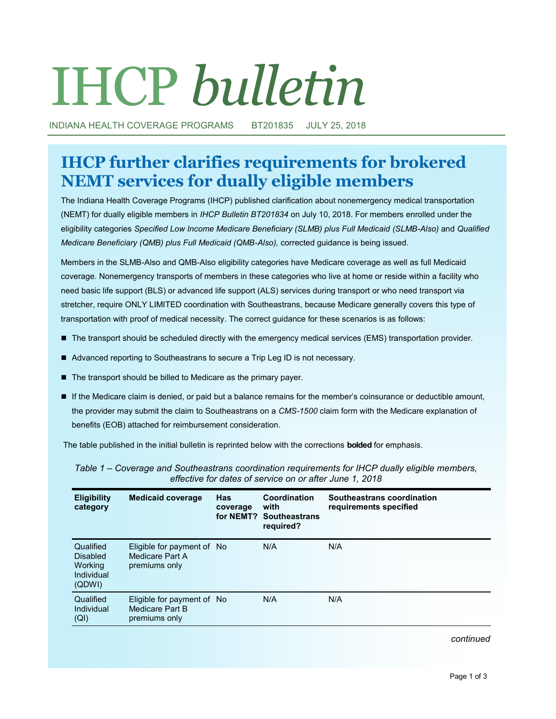# IHCP *bulletin*

INDIANA HEALTH COVERAGE PROGRAMS BT201835 JULY 25, 2018

# **IHCP further clarifies requirements for brokered NEMT services for dually eligible members**

The Indiana Health Coverage Programs (IHCP) published clarification about nonemergency medical transportation (NEMT) for dually eligible members in *IHCP Bulletin BT201834* on July 10, 2018. For members enrolled under the eligibility categories *Specified Low Income Medicare Beneficiary (SLMB) plus Full Medicaid (SLMB-Also)* and *Qualified Medicare Beneficiary (QMB) plus Full Medicaid (QMB-Also),* corrected guidance is being issued.

Members in the SLMB-Also and QMB-Also eligibility categories have Medicare coverage as well as full Medicaid coverage. Nonemergency transports of members in these categories who live at home or reside within a facility who need basic life support (BLS) or advanced life support (ALS) services during transport or who need transport via stretcher, require ONLY LIMITED coordination with Southeastrans, because Medicare generally covers this type of transportation with proof of medical necessity. The correct guidance for these scenarios is as follows:

- The transport should be scheduled directly with the emergency medical services (EMS) transportation provider.
- Advanced reporting to Southeastrans to secure a Trip Leg ID is not necessary.
- The transport should be billed to Medicare as the primary payer.
- If the Medicare claim is denied, or paid but a balance remains for the member's coinsurance or deductible amount, the provider may submit the claim to Southeastrans on a *CMS-1500* claim form with the Medicare explanation of benefits (EOB) attached for reimbursement consideration.

The table published in the initial bulletin is reprinted below with the corrections **bolded** for emphasis.

| <b>Eligibility</b><br>category                                         | <b>Medicaid coverage</b>                                       | <b>Has</b><br>coverage<br>for NEMT? | Coordination<br>with<br><b>Southeastrans</b><br>required? | Southeastrans coordination<br>requirements specified |
|------------------------------------------------------------------------|----------------------------------------------------------------|-------------------------------------|-----------------------------------------------------------|------------------------------------------------------|
| Qualified<br><b>Disabled</b><br><b>Working</b><br>Individual<br>(QDWI) | Eligible for payment of No<br>Medicare Part A<br>premiums only |                                     | N/A                                                       | N/A                                                  |
| Qualified<br>Individual<br>(QI)                                        | Eligible for payment of No<br>Medicare Part B<br>premiums only |                                     | N/A                                                       | N/A                                                  |

*Table 1 – Coverage and Southeastrans coordination requirements for IHCP dually eligible members, effective for dates of service on or after June 1, 2018* 

*continued*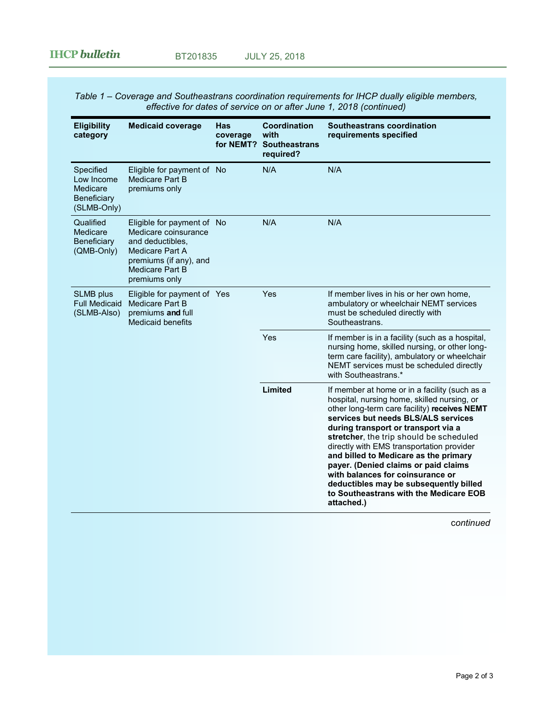*Table 1 – Coverage and Southeastrans coordination requirements for IHCP dually eligible members, effective for dates of service on or after June 1, 2018 (continued)*

| <b>Eligibility</b><br>category                                    | <b>Medicaid coverage</b>                                                                                                                                | <b>Has</b><br>coverage<br>for NEMT? | Coordination<br>with<br><b>Southeastrans</b><br>required? | Southeastrans coordination<br>requirements specified                                                                                                                                                                                                                                                                                                                                                                                                                                                                                      |
|-------------------------------------------------------------------|---------------------------------------------------------------------------------------------------------------------------------------------------------|-------------------------------------|-----------------------------------------------------------|-------------------------------------------------------------------------------------------------------------------------------------------------------------------------------------------------------------------------------------------------------------------------------------------------------------------------------------------------------------------------------------------------------------------------------------------------------------------------------------------------------------------------------------------|
| Specified<br>Low Income<br>Medicare<br>Beneficiary<br>(SLMB-Only) | Eligible for payment of No<br><b>Medicare Part B</b><br>premiums only                                                                                   |                                     | N/A                                                       | N/A                                                                                                                                                                                                                                                                                                                                                                                                                                                                                                                                       |
| Qualified<br>Medicare<br>Beneficiary<br>(QMB-Only)                | Eligible for payment of No<br>Medicare coinsurance<br>and deductibles,<br>Medicare Part A<br>premiums (if any), and<br>Medicare Part B<br>premiums only |                                     | N/A                                                       | N/A                                                                                                                                                                                                                                                                                                                                                                                                                                                                                                                                       |
| <b>SLMB</b> plus<br><b>Full Medicaid</b><br>(SLMB-Also)           | Eligible for payment of Yes<br>Medicare Part B<br>premiums and full<br><b>Medicaid benefits</b>                                                         |                                     | Yes                                                       | If member lives in his or her own home,<br>ambulatory or wheelchair NEMT services<br>must be scheduled directly with<br>Southeastrans.                                                                                                                                                                                                                                                                                                                                                                                                    |
|                                                                   |                                                                                                                                                         |                                     | Yes                                                       | If member is in a facility (such as a hospital,<br>nursing home, skilled nursing, or other long-<br>term care facility), ambulatory or wheelchair<br>NEMT services must be scheduled directly<br>with Southeastrans.*                                                                                                                                                                                                                                                                                                                     |
|                                                                   |                                                                                                                                                         |                                     | Limited                                                   | If member at home or in a facility (such as a<br>hospital, nursing home, skilled nursing, or<br>other long-term care facility) receives NEMT<br>services but needs BLS/ALS services<br>during transport or transport via a<br>stretcher, the trip should be scheduled<br>directly with EMS transportation provider<br>and billed to Medicare as the primary<br>payer. (Denied claims or paid claims<br>with balances for coinsurance or<br>deductibles may be subsequently billed<br>to Southeastrans with the Medicare EOB<br>attached.) |

c*ontinued*